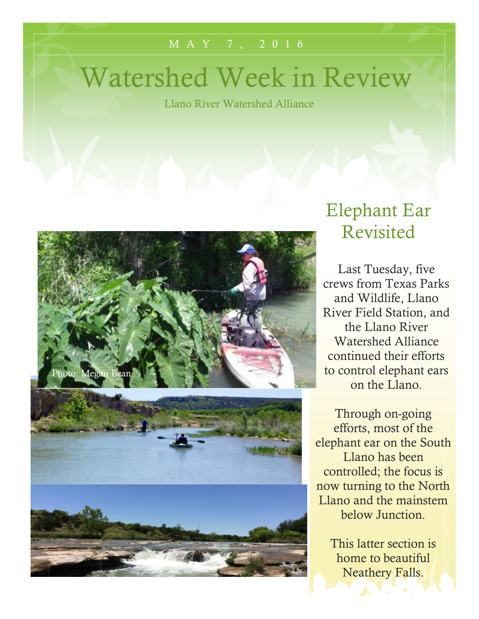#### M A Y 7 , 2016

# Watershed Week in Review

Llano River Watershed Alliance



### Elephant Ear Revisited

Last Tuesday, five crews from Texas Parks and Wildlife, Llano River Field Station, and the Llano River Watershed Alliance continued their efforts to control elephant ears on the Llano.

Through on-going efforts, most of the elephant ear on the South Llano has been controlled; the focus is now turning to the North Llano and the mainstem below Junction.

> This latter section is home to beautiful Neathery Falls.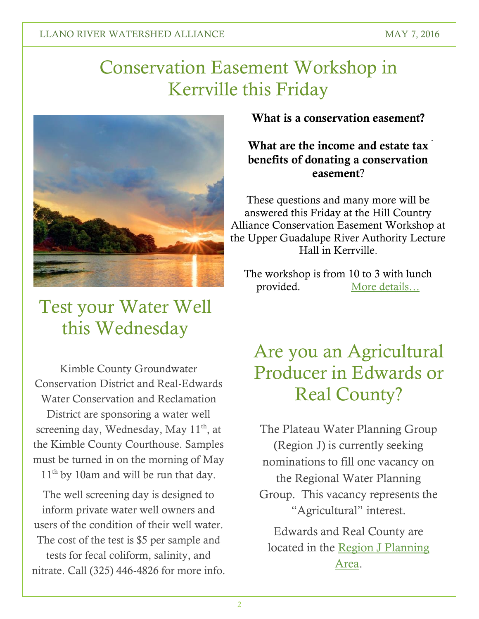## Conservation Easement Workshop in Kerrville this Friday



## Test your Water Well this Wednesday

Kimble County Groundwater Conservation District and Real-Edwards Water Conservation and Reclamation District are sponsoring a water well screening day, Wednesday, May  $11<sup>th</sup>$ , at the Kimble County Courthouse. Samples must be turned in on the morning of May 11<sup>th</sup> by 10am and will be run that day.

The well screening day is designed to inform private water well owners and users of the condition of their well water. The cost of the test is \$5 per sample and tests for fecal coliform, salinity, and nitrate. Call (325) 446-4826 for more info. **What is a conservation easement?**

#### . **What are the income and estate tax benefits of donating a conservation easement**?

These questions and many more will be answered this Friday at the Hill Country Alliance Conservation Easement Workshop at the Upper Guadalupe River Authority Lecture Hall in Kerrville.

The workshop is from 10 to 3 with lunch provided. [More details…](https://salsa3.salsalabs.com/o/1891/p/salsa/event/common/public/?event_KEY=84299)

## Are you an Agricultural Producer in Edwards or Real County?

The Plateau Water Planning Group (Region J) is currently seeking nominations to fill one vacancy on the Regional Water Planning Group. This vacancy represents the "Agricultural" interest.

Edwards and Real County are located in the [Region J Planning](http://www.ugra.org/waterdevelopment.html)  [Area.](http://www.ugra.org/waterdevelopment.html)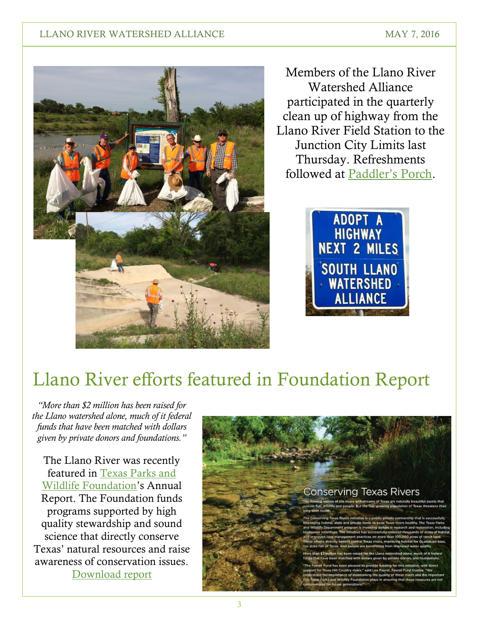#### LLANO RIVER WATERSHED ALLIANCE MAY 7, 2016



Members of the Llano River Watershed Alliance participated in the quarterly clean up of highway from the Llano River Field Station to the Junction City Limits last Thursday. Refreshments followed at [Paddler's Porch](http://www.paddlersporch.net/).



## Llano River efforts featured in Foundation Report

*"More than \$2 million has been raised for the Llano watershed alone, much of it federal funds that have been matched with dollars given by private donors and foundations."*

The Llano River was recently featured in [Texas Parks and](http://www.tpwf.org/)  [Wildlife Foundation](http://www.tpwf.org/)'s Annual Report. The Foundation funds programs supported by high quality stewardship and sound science that directly conserve Texas' natural resources and raise awareness of conservation issues. [Download report](http://www.tpwf.org/annualreport2015/)